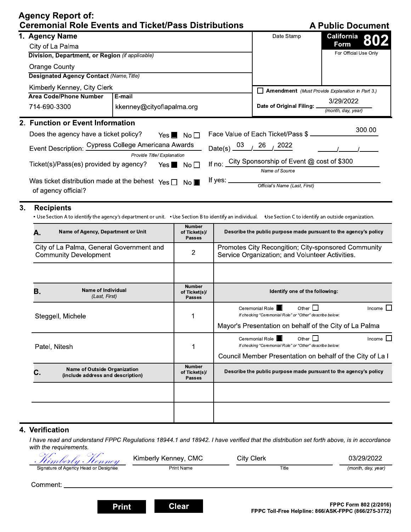# **Agency Report of:**  $\mathsf{C}$

|  |  | <b>A Public Document</b> |
|--|--|--------------------------|
|  |  |                          |

|                                                                           | <b>Ceremonial Role Events and Ticket/Pass Distributions</b>                                                                                                                     |                                                                                           |                                                 |                                                                  |                                                                                                        | <b>A Public Document</b>                                  |
|---------------------------------------------------------------------------|---------------------------------------------------------------------------------------------------------------------------------------------------------------------------------|-------------------------------------------------------------------------------------------|-------------------------------------------------|------------------------------------------------------------------|--------------------------------------------------------------------------------------------------------|-----------------------------------------------------------|
|                                                                           | 1. Agency Name                                                                                                                                                                  |                                                                                           |                                                 |                                                                  | Date Stamp                                                                                             | California<br>802                                         |
|                                                                           | City of La Palma                                                                                                                                                                |                                                                                           |                                                 |                                                                  |                                                                                                        | Form                                                      |
|                                                                           | Division, Department, or Region (if applicable)                                                                                                                                 |                                                                                           |                                                 |                                                                  |                                                                                                        | For Official Use Only                                     |
|                                                                           | <b>Orange County</b>                                                                                                                                                            |                                                                                           |                                                 |                                                                  |                                                                                                        |                                                           |
|                                                                           |                                                                                                                                                                                 | <b>Designated Agency Contact (Name, Title)</b>                                            |                                                 |                                                                  |                                                                                                        |                                                           |
|                                                                           | Kimberly Kenney, City Clerk                                                                                                                                                     |                                                                                           |                                                 |                                                                  | <b>Amendment</b> (Must Provide Explanation in Part 3.)                                                 |                                                           |
|                                                                           | <b>Area Code/Phone Number</b><br>E-mail                                                                                                                                         |                                                                                           |                                                 | 3/29/2022                                                        |                                                                                                        |                                                           |
|                                                                           | 714-690-3300                                                                                                                                                                    | kkenney@cityoflapalma.org                                                                 |                                                 |                                                                  | Date of Original Filing: _                                                                             | (month, day, year)                                        |
|                                                                           | 2. Function or Event Information                                                                                                                                                |                                                                                           |                                                 |                                                                  |                                                                                                        |                                                           |
|                                                                           | Does the agency have a ticket policy?<br>Yes $\blacksquare$ No $\square$                                                                                                        |                                                                                           |                                                 |                                                                  | Face Value of Each Ticket/Pass \$ _                                                                    | 300.00                                                    |
|                                                                           | Event Description: Cypress College Americana Awards                                                                                                                             |                                                                                           |                                                 | Date(s) $\frac{03}{12}$ / $\frac{26}{12022}$                     |                                                                                                        |                                                           |
|                                                                           |                                                                                                                                                                                 | Provide Title/Explanation                                                                 |                                                 |                                                                  | If no: City Sponsorship of Event @ cost of \$300                                                       |                                                           |
| Ticket(s)/Pass(es) provided by agency?<br>Yes $\blacksquare$ No $\square$ |                                                                                                                                                                                 |                                                                                           |                                                 | Name of Source                                                   |                                                                                                        |                                                           |
|                                                                           | Was ticket distribution made at the behest $\gamma_{\text{es}}$ $\Box$ No $\blacksquare$                                                                                        |                                                                                           |                                                 | If yes: $\_\_$                                                   |                                                                                                        |                                                           |
|                                                                           | of agency official?                                                                                                                                                             |                                                                                           |                                                 |                                                                  | Official's Name (Last, First)                                                                          |                                                           |
|                                                                           |                                                                                                                                                                                 |                                                                                           |                                                 |                                                                  |                                                                                                        |                                                           |
| 3.                                                                        | <b>Recipients</b><br>• Use Section A to identify the agency's department or unit. • Use Section B to identify an individual. Use Section C to identify an outside organization. |                                                                                           |                                                 |                                                                  |                                                                                                        |                                                           |
|                                                                           | Name of Agency, Department or Unit<br>А.                                                                                                                                        |                                                                                           | <b>Number</b><br>of Ticket(s)/<br><b>Passes</b> | Describe the public purpose made pursuant to the agency's policy |                                                                                                        |                                                           |
|                                                                           | City of La Palma, General Government and<br><b>Community Development</b>                                                                                                        |                                                                                           | $\overline{c}$                                  |                                                                  | Promotes City Recongition; City-sponsored Community<br>Service Organization; and Volunteer Activities. |                                                           |
|                                                                           |                                                                                                                                                                                 |                                                                                           |                                                 |                                                                  |                                                                                                        |                                                           |
|                                                                           | Name of Individual<br>Β.<br>(Last, First)                                                                                                                                       |                                                                                           | <b>Number</b><br>of Ticket(s)/<br><b>Passes</b> | Identify one of the following:                                   |                                                                                                        |                                                           |
|                                                                           |                                                                                                                                                                                 |                                                                                           |                                                 |                                                                  | Other $\square$<br>٠<br>Ceremonial Role                                                                | Income                                                    |
|                                                                           | Steggell, Michele                                                                                                                                                               |                                                                                           | 1                                               |                                                                  | If checking "Ceremonial Role" or "Other" describe below:                                               |                                                           |
|                                                                           |                                                                                                                                                                                 |                                                                                           |                                                 |                                                                  | Mayor's Presentation on behalf of the City of La Palma                                                 |                                                           |
|                                                                           |                                                                                                                                                                                 |                                                                                           |                                                 |                                                                  | Ceremonial Role  <br>Other $\Box$                                                                      | Income L                                                  |
|                                                                           | Patel, Nitesh                                                                                                                                                                   |                                                                                           | 1                                               |                                                                  | If checking "Ceremonial Role" or "Other" describe below:                                               |                                                           |
|                                                                           |                                                                                                                                                                                 |                                                                                           | <b>Number</b>                                   |                                                                  |                                                                                                        | Council Member Presentation on behalf of the City of La I |
|                                                                           | C.                                                                                                                                                                              | <b>Name of Outside Organization</b><br>of Ticket(s)/<br>(include address and description) |                                                 |                                                                  | Describe the public purpose made pursuant to the agency's policy                                       |                                                           |
|                                                                           |                                                                                                                                                                                 |                                                                                           |                                                 |                                                                  |                                                                                                        |                                                           |
|                                                                           |                                                                                                                                                                                 |                                                                                           |                                                 |                                                                  |                                                                                                        |                                                           |
|                                                                           |                                                                                                                                                                                 |                                                                                           |                                                 |                                                                  |                                                                                                        |                                                           |

## 4. Verification

I have read and understand FPPC Regulations 18944.1 and 18942. I have verified that the distribution set forth above, is in accordance with the requirements.

| <u> Stimberly Stenney</u>            | Kimberly Kenney, CMC | City Clerk | 03/29/2022         |
|--------------------------------------|----------------------|------------|--------------------|
| Signature of Agency Head or Designee | <b>Print Name</b>    | Title      | (month, day, year) |
| Comment:                             |                      |            |                    |

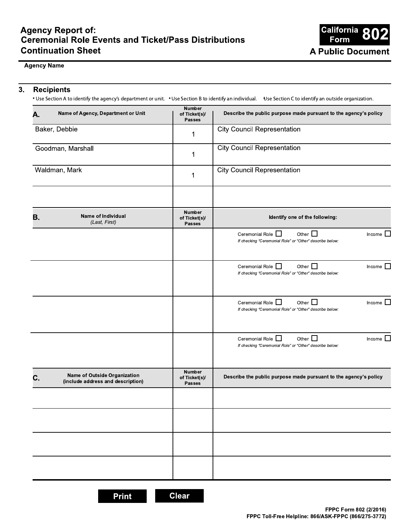

### **Agency Name**

#### $3.$ **Recipients**

• Use Section A to identify the agency's department or unit. • Use Section B to identify an individual. Use Section C to identify an outside organization.

| А. | Name of Agency, Department or Unit                                | <b>Number</b><br>of Ticket(s)/<br><b>Passes</b> | Describe the public purpose made pursuant to the agency's policy                                                             |
|----|-------------------------------------------------------------------|-------------------------------------------------|------------------------------------------------------------------------------------------------------------------------------|
|    | Baker, Debbie                                                     | 1                                               | <b>City Council Representation</b>                                                                                           |
|    | Goodman, Marshall                                                 | 1                                               | <b>City Council Representation</b>                                                                                           |
|    | Waldman, Mark                                                     | 1                                               | <b>City Council Representation</b>                                                                                           |
|    |                                                                   | Number                                          |                                                                                                                              |
| В. | Name of Individual<br>(Last, First)                               | of Ticket(s)/<br><b>Passes</b>                  | Identify one of the following:                                                                                               |
|    |                                                                   |                                                 | Ceremonial Role <sup>1</sup><br>Other $\Box$<br>Income $\Box$<br>If checking "Ceremonial Role" or "Other" describe below:    |
|    |                                                                   |                                                 | Ceremonial Role $\Box$<br>Other $\Box$<br>Income $\Box$<br>If checking "Ceremonial Role" or "Other" describe below:          |
|    |                                                                   |                                                 | Ceremonial Role <sup>1</sup><br>Income $\square$<br>Other $\Box$<br>If checking "Ceremonial Role" or "Other" describe below: |
|    |                                                                   |                                                 | Ceremonial Role <sup>1</sup><br>Income $\Box$<br>Other $\Box$<br>If checking "Ceremonial Role" or "Other" describe below:    |
| С. | Name of Outside Organization<br>(include address and description) | <b>Number</b><br>of Ticket(s)/<br><b>Passes</b> | Describe the public purpose made pursuant to the agency's policy                                                             |
|    |                                                                   |                                                 |                                                                                                                              |
|    |                                                                   |                                                 |                                                                                                                              |
|    |                                                                   |                                                 |                                                                                                                              |
|    |                                                                   |                                                 |                                                                                                                              |

**Clear**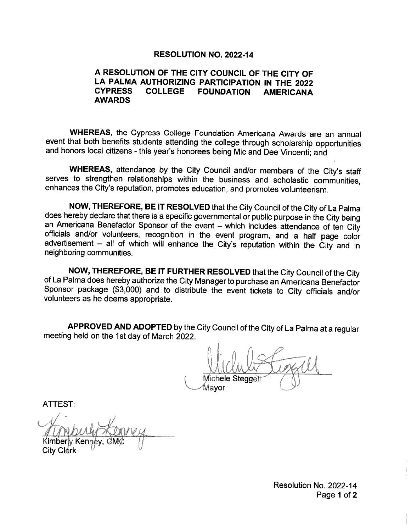## **RESOLUTION NO. 2022-14**

### A RESOLUTION OF THE CITY COUNCIL OF THE CITY OF LA PALMA AUTHORIZING PARTICIPATION IN THE 2022 **CYPRESS COLLEGE FOUNDATION AMERICANA AWARDS**

WHEREAS, the Cypress College Foundation Americana Awards are an annual event that both benefits students attending the college through scholarship opportunities and honors local citizens - this year's honorees being Mic and Dee Vincenti; and

WHEREAS, attendance by the City Council and/or members of the City's staff serves to strengthen relationships within the business and scholastic communities, enhances the City's reputation, promotes education, and promotes volunteerism.

NOW, THEREFORE, BE IT RESOLVED that the City Council of the City of La Palma does hereby declare that there is a specific governmental or public purpose in the City being an Americana Benefactor Sponsor of the event - which includes attendance of ten City officials and/or volunteers, recognition in the event program, and a half page color advertisement - all of which will enhance the City's reputation within the City and in neighboring communities.

NOW, THEREFORE, BE IT FURTHER RESOLVED that the City Council of the City of La Palma does hereby authorize the City Manager to purchase an Americana Benefactor Sponsor package (\$3,000) and to distribute the event tickets to City officials and/or volunteers as he deems appropriate.

APPROVED AND ADOPTED by the City Council of the City of La Palma at a regular meeting held on the 1st day of March 2022.

Michele Steaget Mavor

**ATTEST:** 

'M Kennév. City Clérk

Resolution No. 2022-14 Page 1 of 2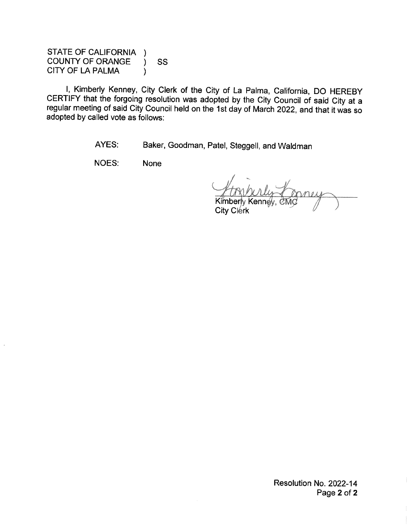STATE OF CALIFORNIA ) **COUNTY OF ORANGE** SS  $\lambda$ CITY OF LA PALMA  $\mathcal{E}$ 

I, Kimberly Kenney, City Clerk of the City of La Palma, California, DO HEREBY CERTIFY that the forgoing resolution was adopted by the City Council of said City at a regular meeting of said City Council held on the 1st day of March 2022, and that it was so adopted by called vote as follows:

> AYES: Baker, Goodman, Patel, Steggell, and Waldman

NOES: **None** 

Kenné City Clerk